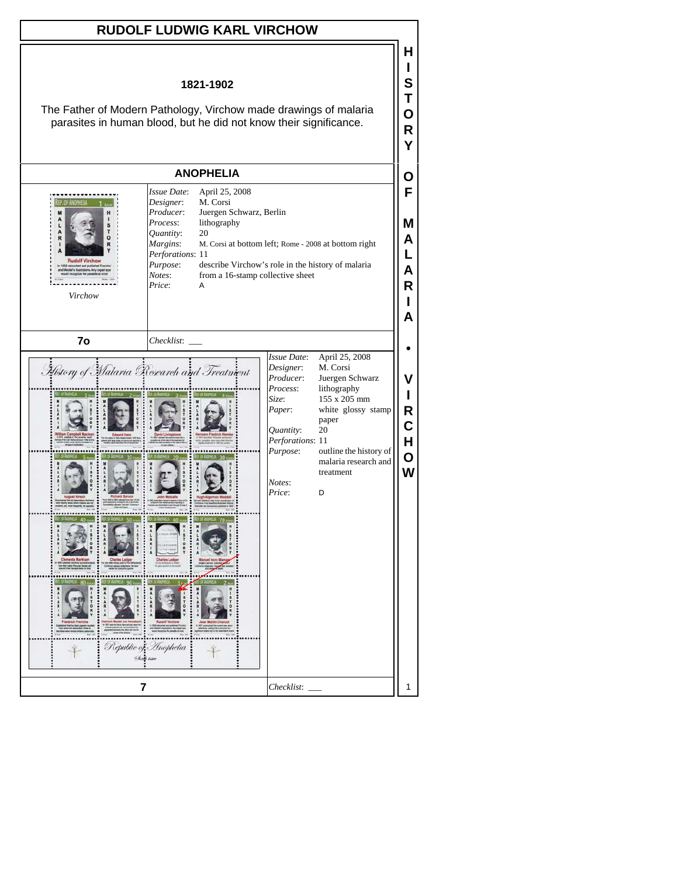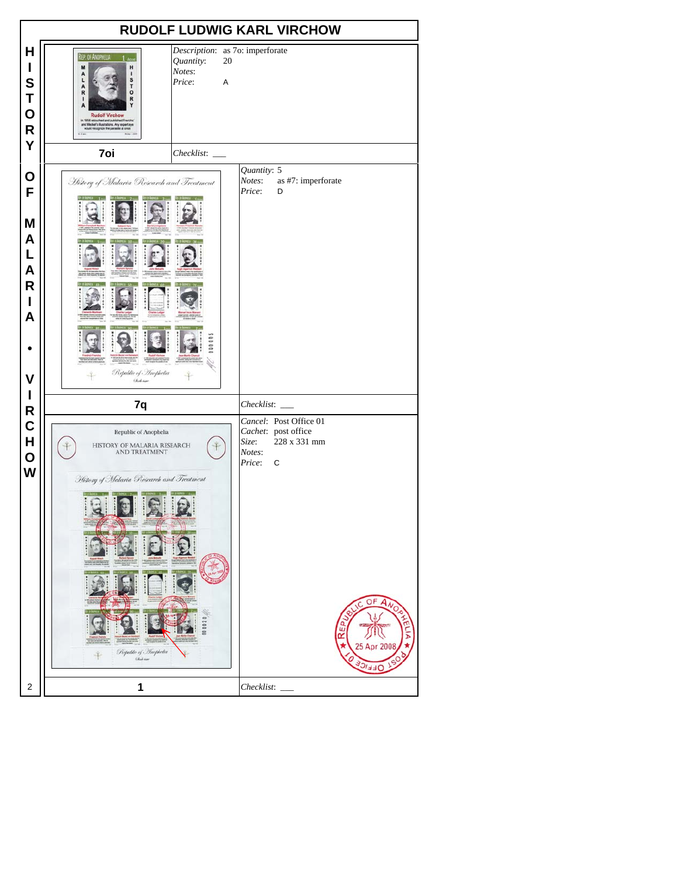|                                                           | <b>RUDOLF LUDWIG KARL VIRCHOW</b>                                                                                                                                                                                                                                                       |         |                                 |                                                                                          |
|-----------------------------------------------------------|-----------------------------------------------------------------------------------------------------------------------------------------------------------------------------------------------------------------------------------------------------------------------------------------|---------|---------------------------------|------------------------------------------------------------------------------------------|
| Н<br>I<br>S<br>Τ<br>O<br>$\mathsf{R}$<br>Y                | REP. OF ANOPHELIA<br>Quantity:<br>M<br>H<br>Notes:<br>AL<br>٠<br>S<br>T<br>Price:<br>$\frac{A}{R}$<br>$\mathbf{o}$<br>R<br>1<br><b>Rudolf Virchow</b><br>in 1858 retouched and published Frenchis<br>and Mecker's illustrations. Any expert eye<br>would recognize the parasite at once | 20<br>Α | Description: as 7o: imperforate |                                                                                          |
|                                                           | 7oi<br>Checklist:                                                                                                                                                                                                                                                                       |         |                                 |                                                                                          |
| O<br>F<br>M<br>A<br>L<br>A<br>$\mathsf{R}$<br>I<br>A<br>V | History of Malaria Research and Treatment<br>H<br>E<br>Republic of Inophelia<br><b>Chief car</b>                                                                                                                                                                                        |         | Quantity: 5<br>Notes:<br>Price: | as #7: imperforate<br>D                                                                  |
| I<br>$\mathsf{R}$                                         | 7q                                                                                                                                                                                                                                                                                      |         | Checklist:                      |                                                                                          |
| $\mathbf C$<br>H<br>O<br>W                                | Republic of Anophelia<br>HISTORY OF MALARIA RESEARCH<br><b>AND TREATMENT</b><br>History of Malaria Research and Treatment<br>000020<br>Republic of Anophelia<br>Chief save                                                                                                              |         | Size:<br>Notes:<br>Price:       | Cancel: Post Office 01<br>Cachet: post office<br>228 x 331 mm<br>C<br>25 Apr 200<br>5177 |
| $\overline{2}$                                            | 1                                                                                                                                                                                                                                                                                       |         | Checklist:                      |                                                                                          |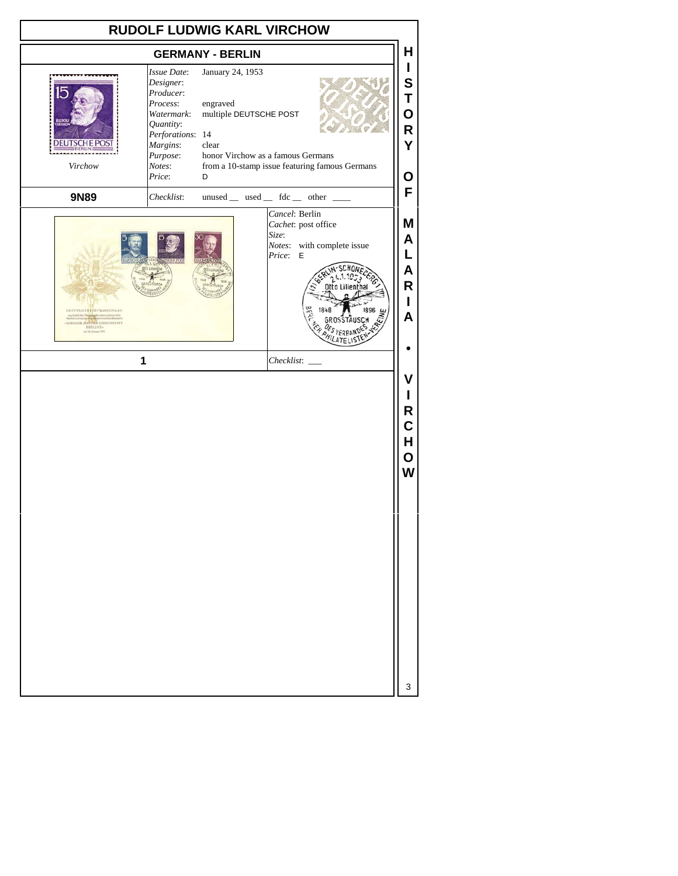| <b>RUDOLF LUDWIG KARL VIRCHOW</b>                                                                                                                          |                                                                                                                                              |                                                                                                           |  |                                   |                                                        |                                                                    |
|------------------------------------------------------------------------------------------------------------------------------------------------------------|----------------------------------------------------------------------------------------------------------------------------------------------|-----------------------------------------------------------------------------------------------------------|--|-----------------------------------|--------------------------------------------------------|--------------------------------------------------------------------|
|                                                                                                                                                            | <b>GERMANY - BERLIN</b>                                                                                                                      |                                                                                                           |  |                                   |                                                        | н                                                                  |
| <b>DEUTSCHE POS</b><br>Virchow                                                                                                                             | Issue Date:<br>Designer:<br>Producer:<br>Process:<br>Watermark:<br>Quantity:<br>Perforations: 14<br>Margins:<br>Purpose:<br>Notes:<br>Price: | January 24, 1953<br>engraved<br>multiple DEUTSCHE POST<br>clear<br>honor Virchow as a famous Germans<br>D |  |                                   | from a 10-stamp issue featuring famous Germans         | L<br>S<br>Τ<br>O<br>R<br>Y<br>О                                    |
| 9N89                                                                                                                                                       | Checklist:                                                                                                                                   |                                                                                                           |  |                                   | $unused$ __ used __ fdc __ other __                    | F                                                                  |
| <b>EXSTTAGSSITIFUMSCHLAG</b><br>aus Anfall der Hermeinsbe von<br>Markiewsatun dur film der partie<br>MANNER AUS DUR GESCHICHTE<br>sen 24. Jonate 1971<br>1 |                                                                                                                                              |                                                                                                           |  | Cancel: Berlin<br>Size:<br>Price: | Cachet: post office<br>Notes: with complete issue<br>E | Μ<br>A<br>L<br>A<br>R<br>L<br>A<br>۷<br>R<br>С<br>H<br>O<br>W<br>3 |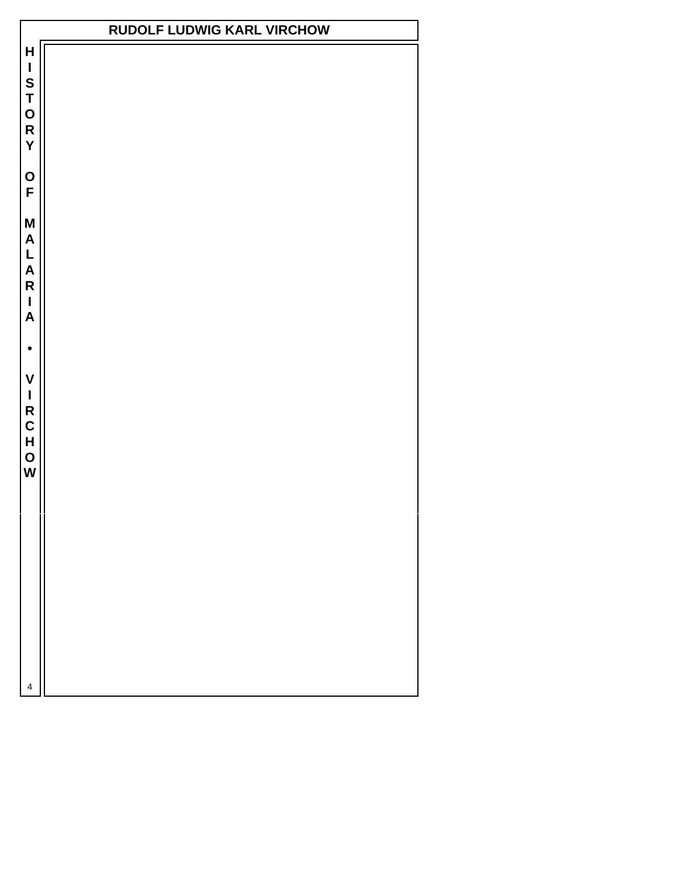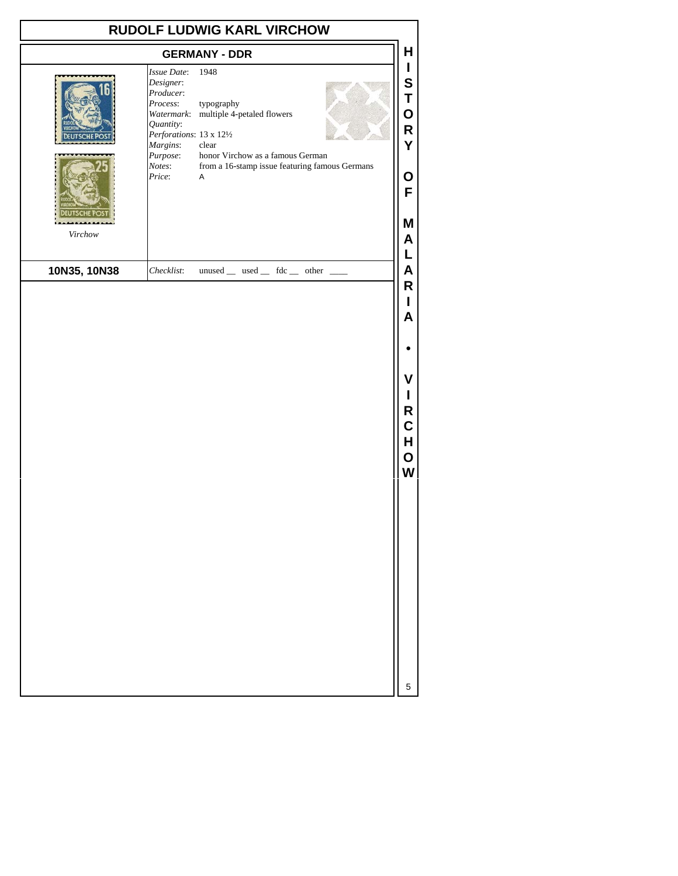|              |                                                                                                                                        | <b>RUDOLF LUDWIG KARL VIRCHOW</b>                                                                                                                               |                                           |
|--------------|----------------------------------------------------------------------------------------------------------------------------------------|-----------------------------------------------------------------------------------------------------------------------------------------------------------------|-------------------------------------------|
|              |                                                                                                                                        | <b>GERMANY - DDR</b>                                                                                                                                            | Н                                         |
|              | Issue Date:<br>Designer:<br>Producer:<br>Process:<br>Quantity:<br>Perforations: 13 x 121/2<br>Margins:<br>Purpose:<br>Notes:<br>Price: | 1948<br>typography<br>Watermark: multiple 4-petaled flowers<br>clear<br>honor Virchow as a famous German<br>from a 16-stamp issue featuring famous Germans<br>Α | I<br>S<br>T<br>O<br>R<br>Ý<br>O<br>F      |
| Virchow      |                                                                                                                                        |                                                                                                                                                                 | Μ<br>A                                    |
| 10N35, 10N38 | Checklist:                                                                                                                             | $unused$ __ used __ fdc __ other __                                                                                                                             | L<br>A                                    |
|              |                                                                                                                                        |                                                                                                                                                                 | L<br>A<br>v<br>ı<br>R<br>C<br>н<br>O<br>W |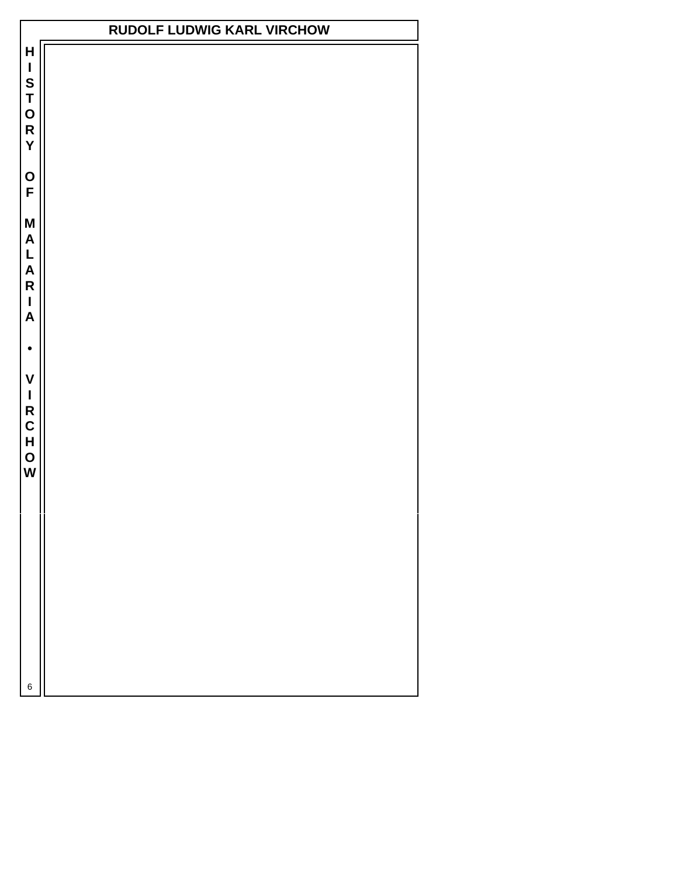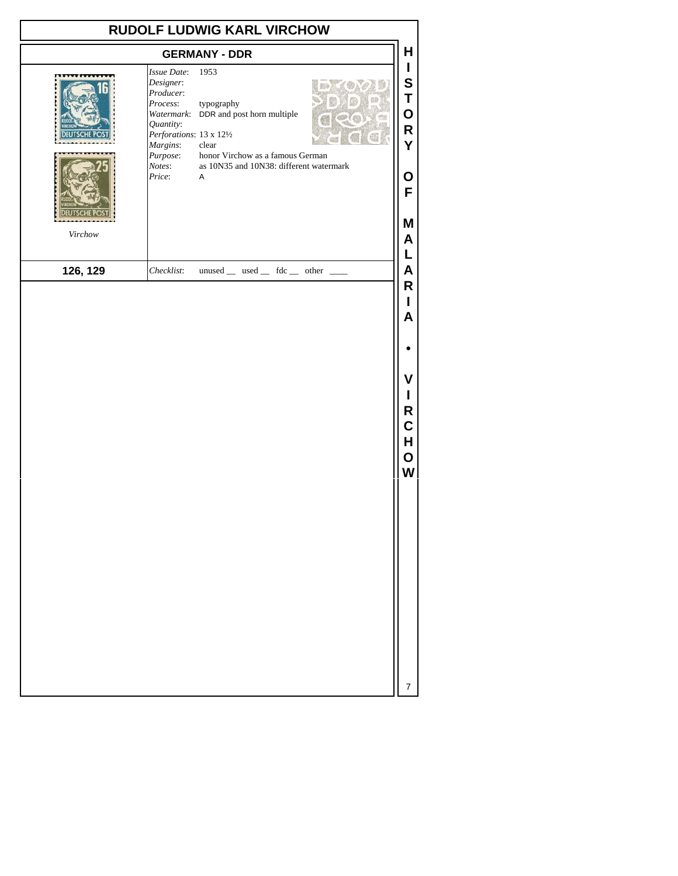| RUDOLF LUDWIG KARL VIRCHOW<br><b>GERMANY - DDR</b> |                                                                                                                                        |                                                                                                                                                                     |  |                                                                |  |
|----------------------------------------------------|----------------------------------------------------------------------------------------------------------------------------------------|---------------------------------------------------------------------------------------------------------------------------------------------------------------------|--|----------------------------------------------------------------|--|
| Virchow                                            | Issue Date:<br>Designer:<br>Producer:<br>Process:<br>Quantity:<br>Perforations: 13 x 121/2<br>Margins:<br>Purpose:<br>Notes:<br>Price: | 1953<br>typography<br>Watermark: DDR and post horn multiple<br>clear<br>honor Virchow as a famous German<br>as 10N35 and 10N38: different watermark<br>$\mathsf{A}$ |  | Н<br>$\mathbf{I}$<br>S<br>T<br>O<br>R<br>Y<br>O<br>F<br>M<br>A |  |
| 126, 129                                           | Checklist:                                                                                                                             | $unused$ used  fdc  other                                                                                                                                           |  | Г<br>A                                                         |  |
|                                                    |                                                                                                                                        |                                                                                                                                                                     |  | R<br>L<br>A<br>۷<br>L<br>R<br>C<br>Н<br>O<br>W                 |  |
|                                                    |                                                                                                                                        |                                                                                                                                                                     |  |                                                                |  |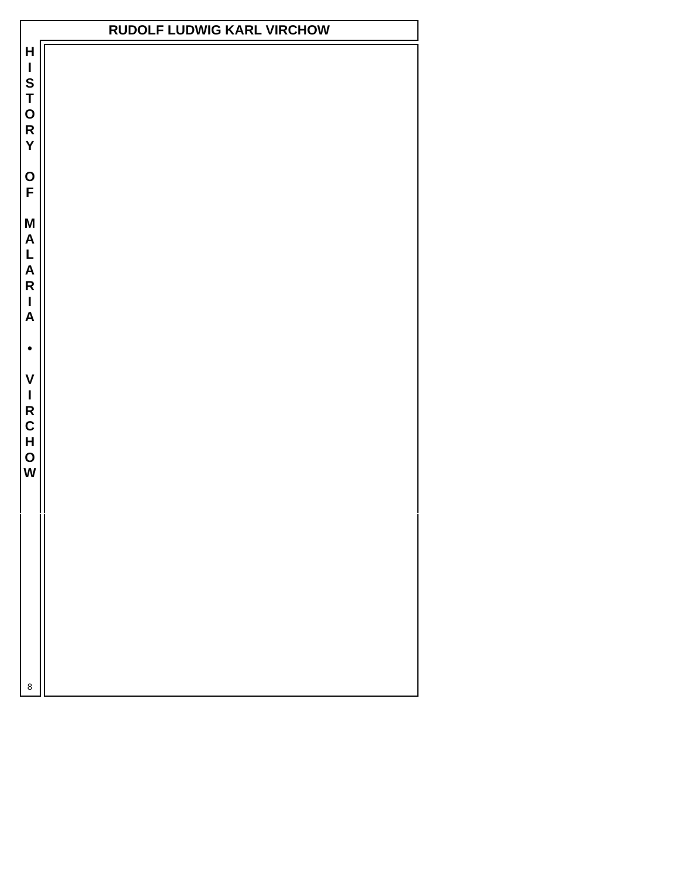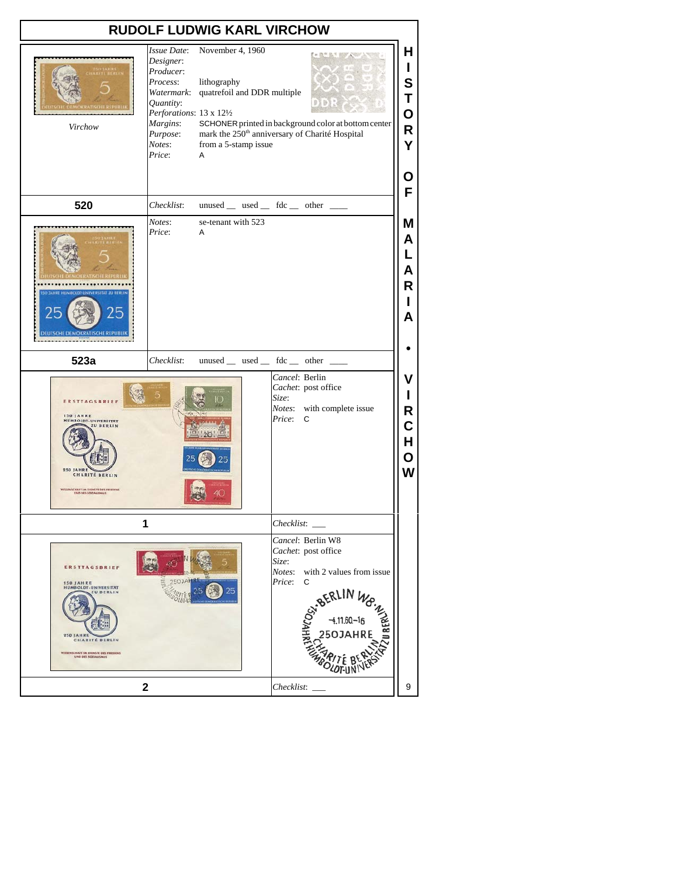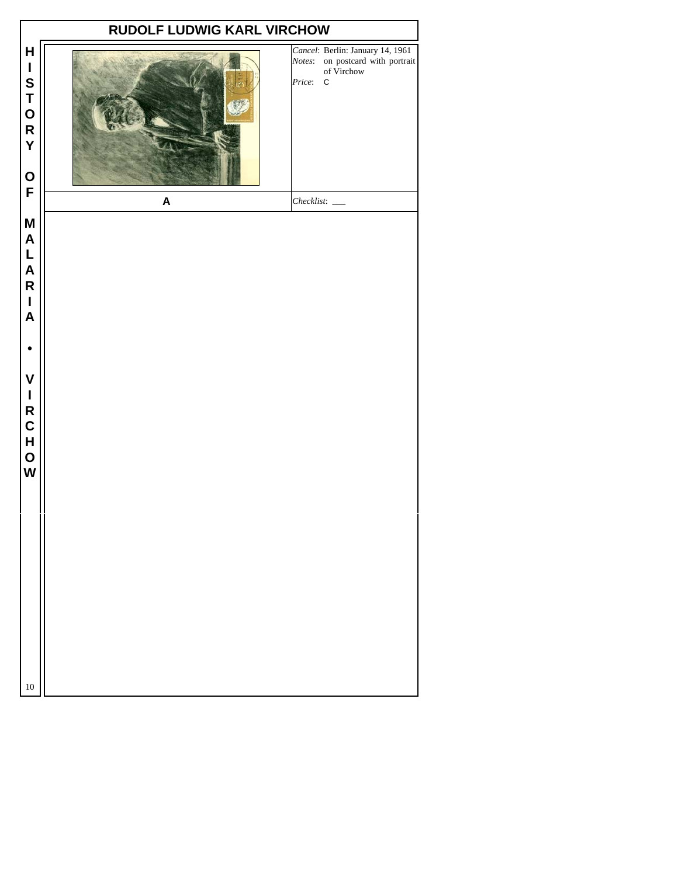|                                                                                                                                                                                                                         | RUDOLF LUDWIG KARL VIRCHOW |                                                                                                             |
|-------------------------------------------------------------------------------------------------------------------------------------------------------------------------------------------------------------------------|----------------------------|-------------------------------------------------------------------------------------------------------------|
| H<br>I<br>S<br>T<br>O<br>R<br>Y<br>$\mathbf O$                                                                                                                                                                          |                            | Cancel: Berlin: January 14, 1961<br>Notes: on postcard with portrait<br>of Virchow<br>Price:<br>$\mathsf C$ |
| F                                                                                                                                                                                                                       | $\boldsymbol{\mathsf{A}}$  | $Checklist:$ $\_\_$                                                                                         |
| M<br>$\mathsf{A}$<br>$\mathsf{L}% _{0}\!\left( \mathcal{M}\right) \equiv\mathsf{L}_{0}\!\left( \mathcal{M}\right)$<br>A<br>R<br>$\mathbf{I}$<br>$\boldsymbol{\mathsf{A}}$<br>$\mathsf{V}$<br>I<br>R<br>C<br>H<br>O<br>W |                            |                                                                                                             |
| $10\,$                                                                                                                                                                                                                  |                            |                                                                                                             |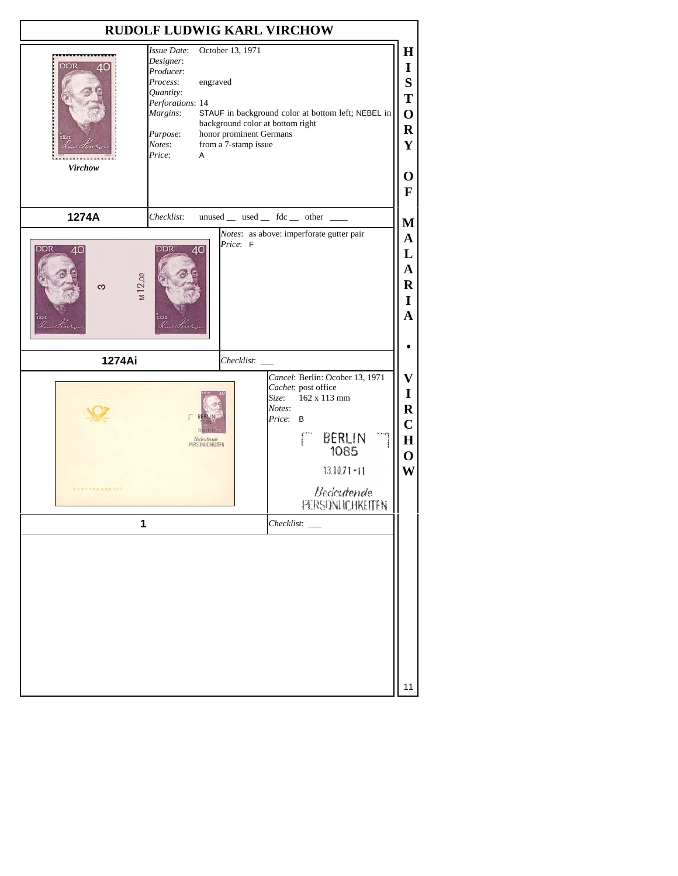| <b>RUDOLF LUDWIG KARL VIRCHOW</b>                                                                                                                |            |                                                                                                                                                                                |                                                                                                                                                                                                                                                                                |  |  |
|--------------------------------------------------------------------------------------------------------------------------------------------------|------------|--------------------------------------------------------------------------------------------------------------------------------------------------------------------------------|--------------------------------------------------------------------------------------------------------------------------------------------------------------------------------------------------------------------------------------------------------------------------------|--|--|
| Issue Date:<br>Designer:<br>Producer:<br>Process:<br>Quantity:<br>Perforations: 14<br>Margins:<br>Purpose:<br>Notes:<br>Price:<br><b>Virchow</b> |            | October 13, 1971<br>engraved<br>STAUF in background color at bottom left; NEBEL in<br>background color at bottom right<br>honor prominent Germans<br>from a 7-stamp issue<br>A |                                                                                                                                                                                                                                                                                |  |  |
| 1274A                                                                                                                                            | Checklist: |                                                                                                                                                                                | unused _ used _ fdc _ other _<br>M                                                                                                                                                                                                                                             |  |  |
| DDR<br>40<br>M12.00<br>က<br>r It                                                                                                                 | DDR        | Price: F<br>40                                                                                                                                                                 | Notes: as above: imperforate gutter pair<br>$\mathbf A$<br>L<br>A<br>$\bf R$<br>I<br>A                                                                                                                                                                                         |  |  |
| 1274Ai                                                                                                                                           |            | Checklist:                                                                                                                                                                     |                                                                                                                                                                                                                                                                                |  |  |
| <b><i>EXSTEASSBREET</i></b>                                                                                                                      |            | <b>Bedeutende</b><br>PERSONJCHKEITEN                                                                                                                                           | Cancel: Berlin: Ocober 13, 1971<br>$\bar{\mathbf{V}}$<br>Cachet: post office<br>$\mathbf I$<br>162 x 113 mm<br>Size:<br>$\bf R$<br>Notes:<br>Price:<br>B<br>$\mathbf C$<br>BERLIN<br>$\bf{H}$<br>1085<br>$\mathbf 0$<br>$13.10.71 - 11$<br>W<br>Bedeutende<br>PERSONLICHKEITEN |  |  |
|                                                                                                                                                  | 1          |                                                                                                                                                                                | Checklist:                                                                                                                                                                                                                                                                     |  |  |
|                                                                                                                                                  |            |                                                                                                                                                                                | 11                                                                                                                                                                                                                                                                             |  |  |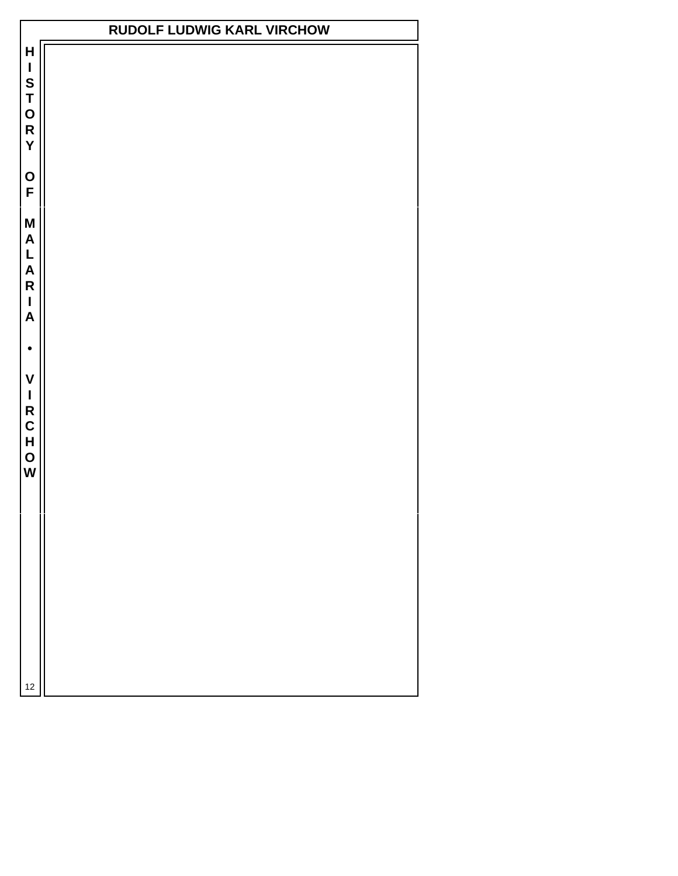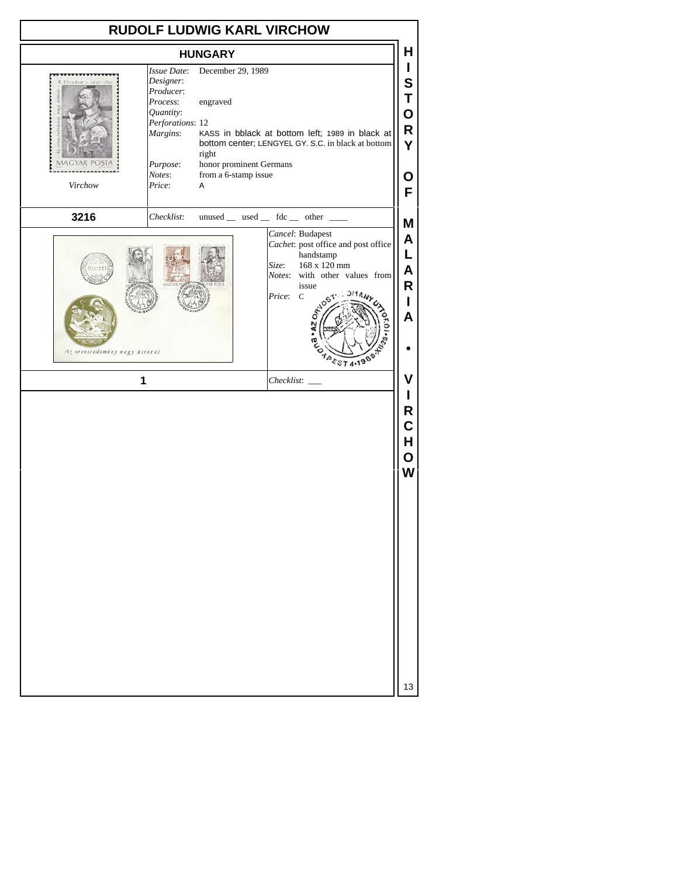| <b>RUDOLF LUDWIG KARL VIRCHOW</b> |                                                                                                                                |                                                                                                |                                                                                                                                                                                                            |                                                          |  |
|-----------------------------------|--------------------------------------------------------------------------------------------------------------------------------|------------------------------------------------------------------------------------------------|------------------------------------------------------------------------------------------------------------------------------------------------------------------------------------------------------------|----------------------------------------------------------|--|
| <b>HUNGARY</b>                    |                                                                                                                                |                                                                                                |                                                                                                                                                                                                            |                                                          |  |
| $V$ crebow = 1821-191<br>Virchow  | Issue Date:<br>Designer:<br>Producer:<br>Process:<br>Quantity:<br>Perforations: 12<br>Margins:<br>Purpose:<br>Notes:<br>Price: | December 29, 1989<br>engraved<br>right<br>honor prominent Germans<br>from a 6-stamp issue<br>Α | KASS in bblack at bottom left; 1989 in black at<br>bottom center; LENGYEL GY. S.C. in black at bottom                                                                                                      | L<br>S<br>Τ<br>O<br>R<br>Y<br>Ο<br>F                     |  |
| 3216                              | Checklist:                                                                                                                     |                                                                                                | $unused$ __ used __ fdc __ other __                                                                                                                                                                        | Μ                                                        |  |
| Az orvostudomány nagy úttörői     | 1                                                                                                                              |                                                                                                | Cancel: Budapest<br>Cachet: post office and post office<br>handstamp<br>168 x 120 mm<br>Size:<br>Notes: with other values from<br>issue<br>Price: C<br><b>. AZ OA</b><br><b>APEST 4.1989</b><br>Checklist: | A<br>L<br>A<br>R<br>L<br>A<br>٧<br>R<br>C<br>H<br>O<br>W |  |
|                                   |                                                                                                                                |                                                                                                |                                                                                                                                                                                                            | 13                                                       |  |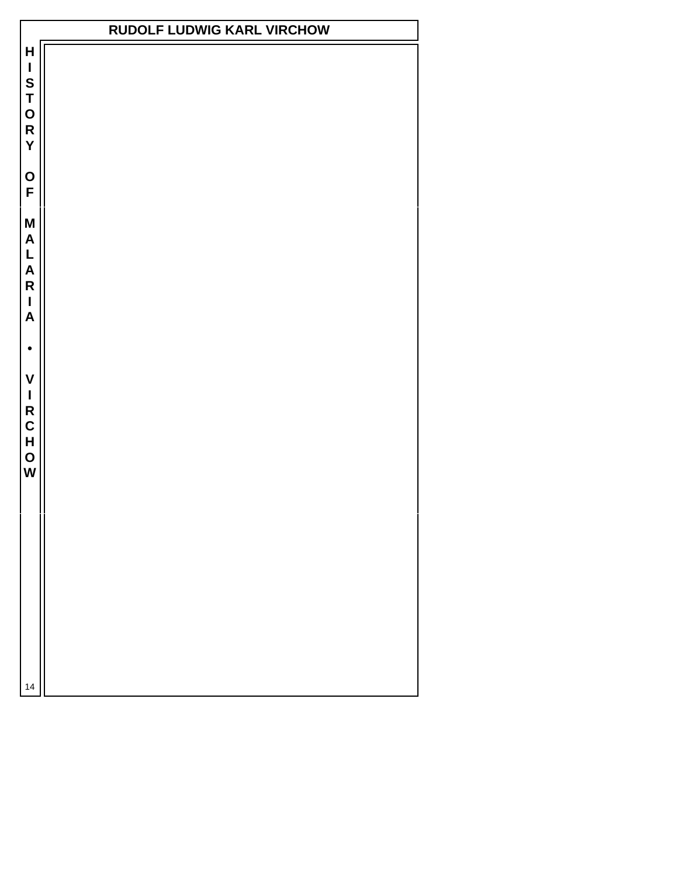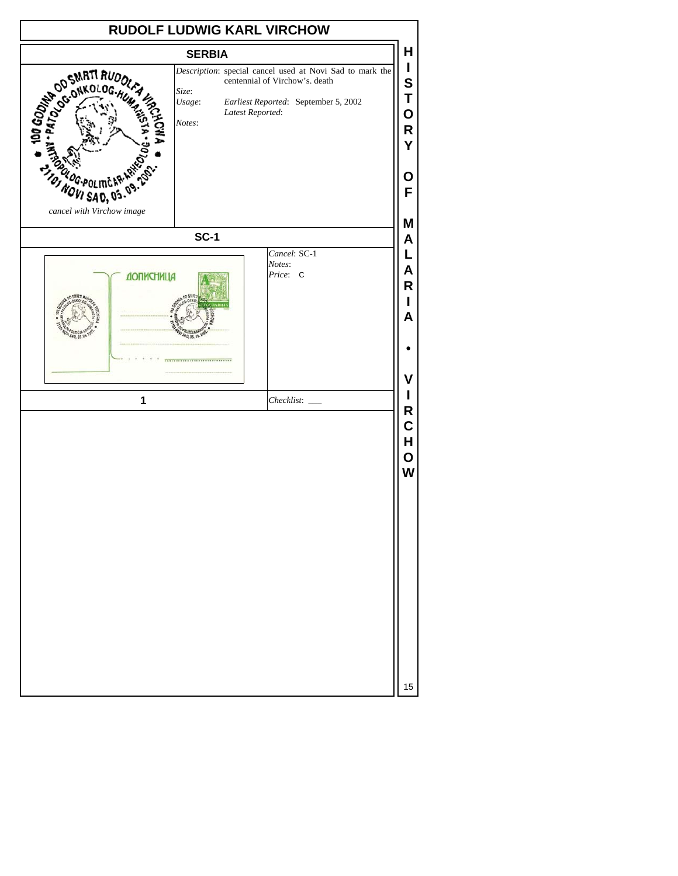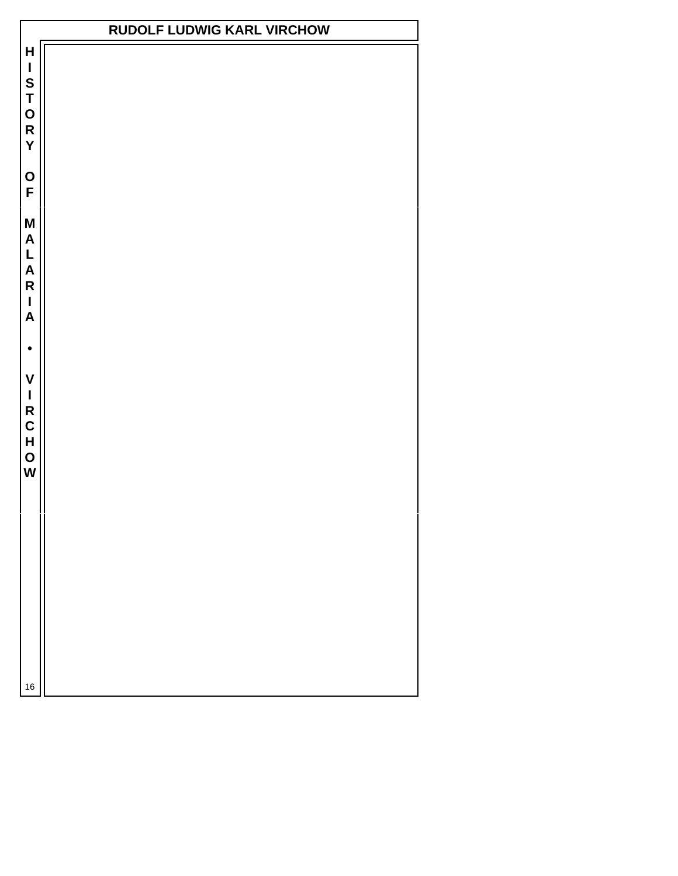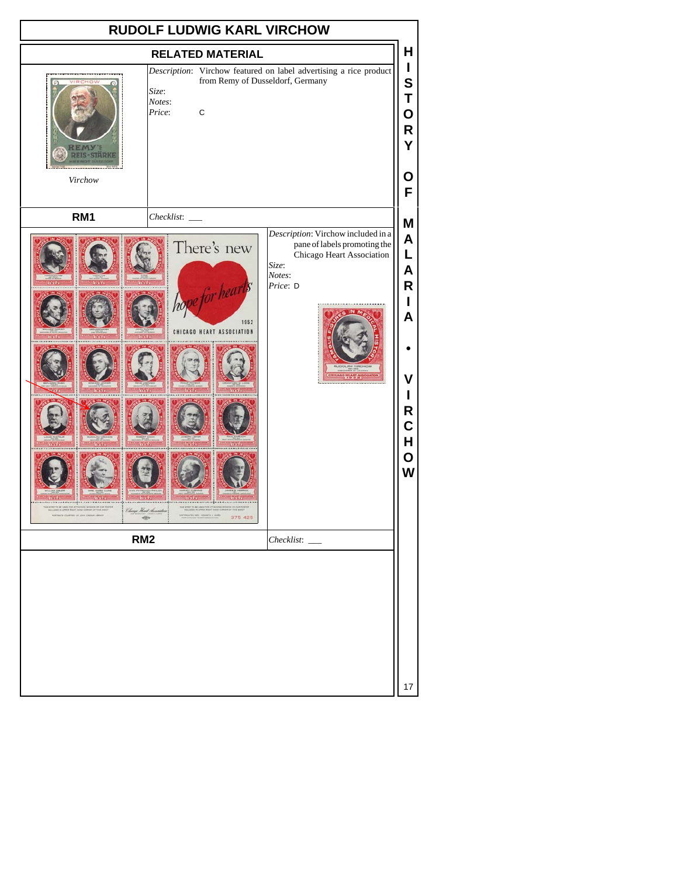